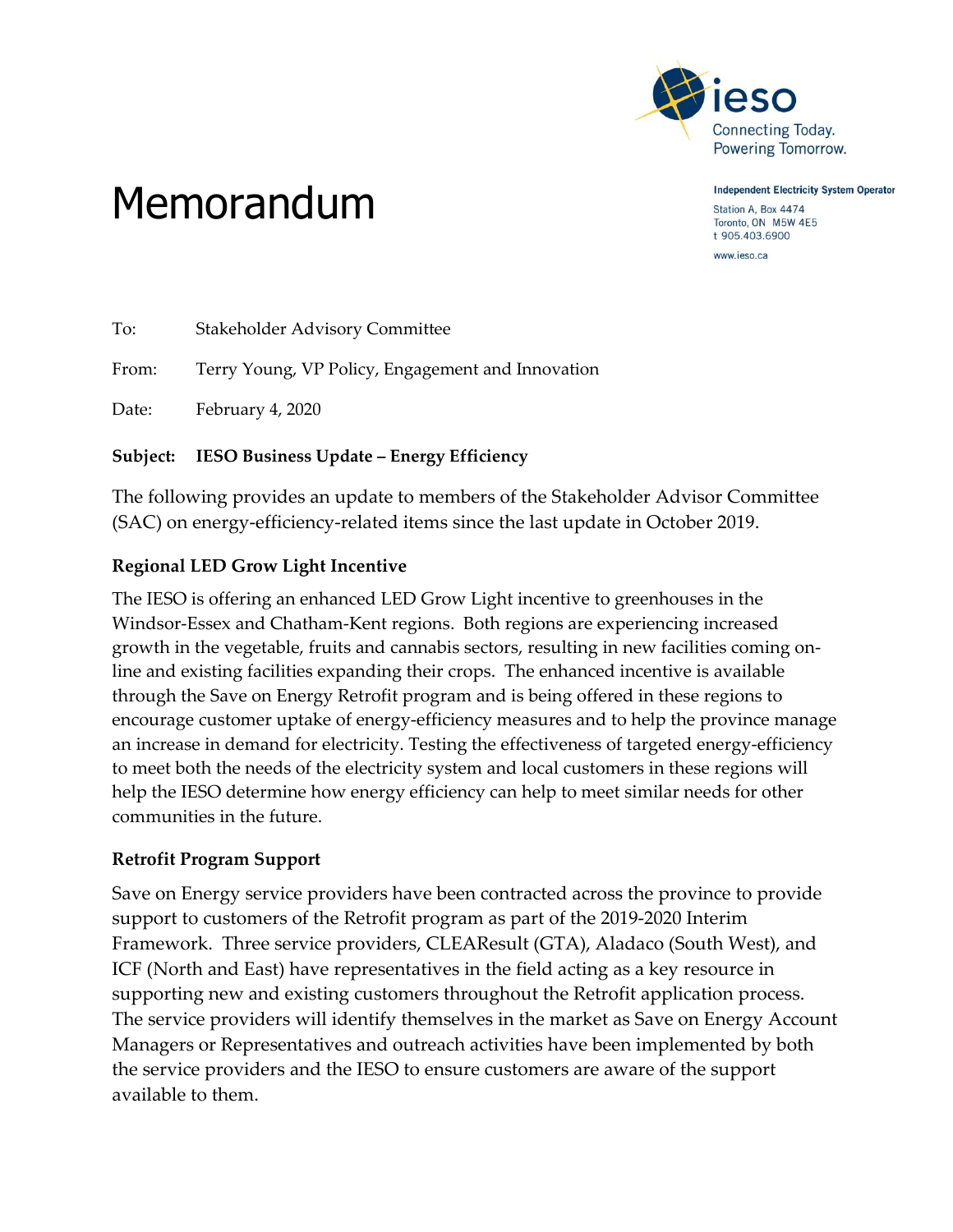

**Independent Electricity System Operator** 

Station A, Box 4474 Toronto, ON M5W 4E5 t 905.403.6900

www.ieso.ca

# Memorandum

| To:   | <b>Stakeholder Advisory Committee</b>             |
|-------|---------------------------------------------------|
| From: | Terry Young, VP Policy, Engagement and Innovation |
| Date: | February 4, 2020                                  |

#### **Subject: IESO Business Update – Energy Efficiency**

The following provides an update to members of the Stakeholder Advisor Committee (SAC) on energy-efficiency-related items since the last update in October 2019.

## **Regional LED Grow Light Incentive**

The IESO is offering an enhanced LED Grow Light incentive to greenhouses in the Windsor-Essex and Chatham-Kent regions. Both regions are experiencing increased growth in the vegetable, fruits and cannabis sectors, resulting in new facilities coming online and existing facilities expanding their crops. The enhanced incentive is available through the Save on Energy Retrofit program and is being offered in these regions to encourage customer uptake of energy-efficiency measures and to help the province manage an increase in demand for electricity. Testing the effectiveness of targeted energy-efficiency to meet both the needs of the electricity system and local customers in these regions will help the IESO determine how energy efficiency can help to meet similar needs for other communities in the future.

### **Retrofit Program Support**

Save on Energy service providers have been contracted across the province to provide support to customers of the Retrofit program as part of the 2019-2020 Interim Framework. Three service providers, CLEAResult (GTA), Aladaco (South West), and ICF (North and East) have representatives in the field acting as a key resource in supporting new and existing customers throughout the Retrofit application process. The service providers will identify themselves in the market as Save on Energy Account Managers or Representatives and outreach activities have been implemented by both the service providers and the IESO to ensure customers are aware of the support available to them.